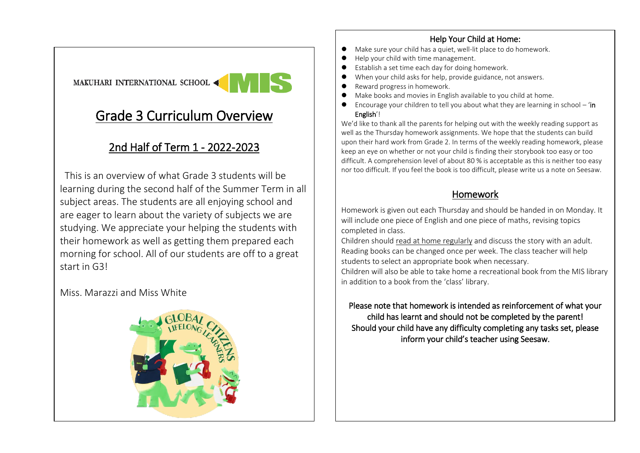#### Help Your Child at Home:

- Make sure your child has a quiet, well-lit place to do homework.
- ⚫ Help your child with time management.
- Establish a set time each day for doing homework.
- When your child asks for help, provide guidance, not answers.
- ⚫ Reward progress in homework.
- Make books and movies in English available to you child at home.
- Encourage your children to tell you about what they are learning in school 'in English'!

We'd like to thank all the parents for helping out with the weekly reading support as well as the Thursday homework assignments. We hope that the students can build upon their hard work from Grade 2. In terms of the weekly reading homework, please keep an eye on whether or not your child is finding their storybook too easy or too difficult. A comprehension level of about 80 % is acceptable as this is neither too easy nor too difficult. If you feel the book is too difficult, please write us a note on Seesaw.

### Homework

Homework is given out each Thursday and should be handed in on Monday. It will include one piece of English and one piece of maths, revising topics completed in class.

Children should read at home regularly and discuss the story with an adult. Reading books can be changed once per week. The class teacher will help students to select an appropriate book when necessary.

Children will also be able to take home a recreational book from the MIS library in addition to a book from the 'class' library.

Please note that homework is intended as reinforcement of what your child has learnt and should not be completed by the parent! Should your child have any difficulty completing any tasks set, please inform your child's teacher using Seesaw.

# MAKUHARI INTERNATIONAL SCHOOL

## Grade 3 Curriculum Overview

### 2nd Half of Term 1 - 2022-2023

 This is an overview of what Grade 3 students will be learning during the second half of the Summer Term in all subject areas. The students are all enjoying school and are eager to learn about the variety of subjects we are studying. We appreciate your helping the students with their homework as well as getting them prepared each morning for school. All of our students are off to a great start in G3!

#### Miss. Marazzi and Miss White